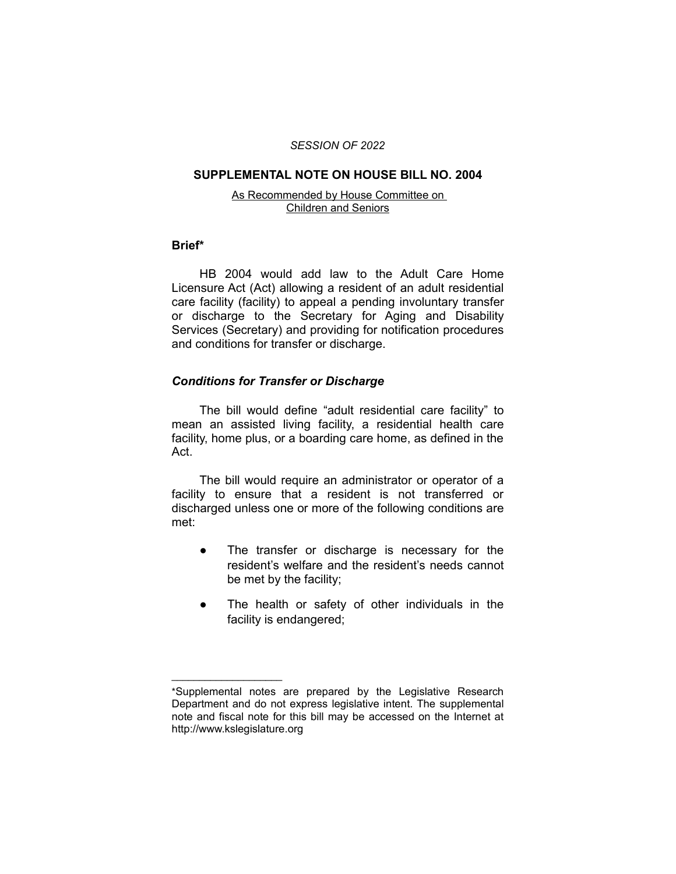#### *SESSION OF 2022*

### **SUPPLEMENTAL NOTE ON HOUSE BILL NO. 2004**

#### As Recommended by House Committee on Children and Seniors

## **Brief\***

HB 2004 would add law to the Adult Care Home Licensure Act (Act) allowing a resident of an adult residential care facility (facility) to appeal a pending involuntary transfer or discharge to the Secretary for Aging and Disability Services (Secretary) and providing for notification procedures and conditions for transfer or discharge.

# *Conditions for Transfer or Discharge*

 $\overline{\phantom{a}}$  , where  $\overline{\phantom{a}}$  , where  $\overline{\phantom{a}}$ 

The bill would define "adult residential care facility" to mean an assisted living facility, a residential health care facility, home plus, or a boarding care home, as defined in the Act.

The bill would require an administrator or operator of a facility to ensure that a resident is not transferred or discharged unless one or more of the following conditions are met:

- The transfer or discharge is necessary for the resident's welfare and the resident's needs cannot be met by the facility;
- The health or safety of other individuals in the facility is endangered;

<sup>\*</sup>Supplemental notes are prepared by the Legislative Research Department and do not express legislative intent. The supplemental note and fiscal note for this bill may be accessed on the Internet at http://www.kslegislature.org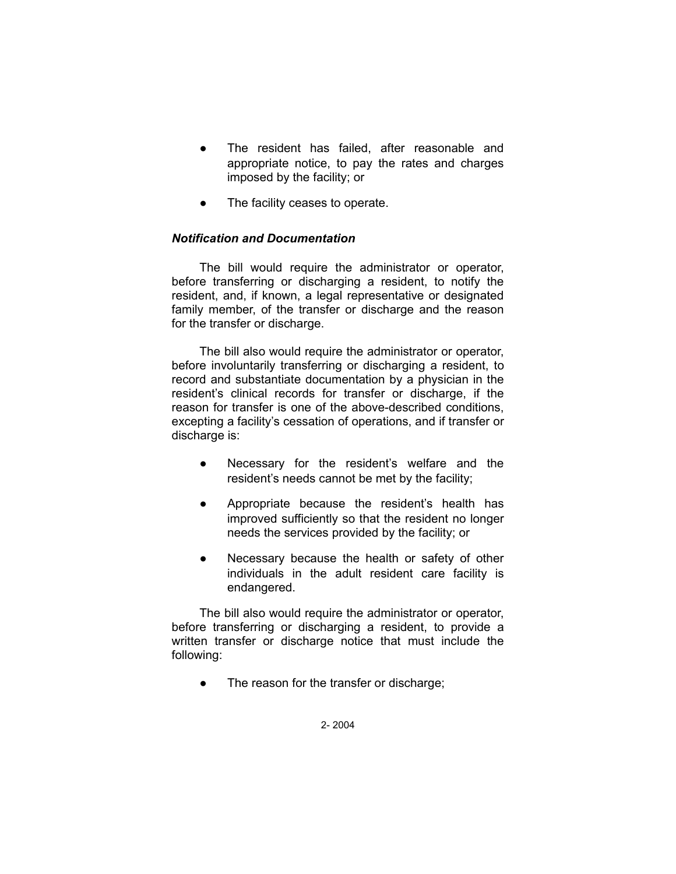- The resident has failed, after reasonable and appropriate notice, to pay the rates and charges imposed by the facility; or
- The facility ceases to operate.

# *Notification and Documentation*

The bill would require the administrator or operator, before transferring or discharging a resident, to notify the resident, and, if known, a legal representative or designated family member, of the transfer or discharge and the reason for the transfer or discharge.

The bill also would require the administrator or operator, before involuntarily transferring or discharging a resident, to record and substantiate documentation by a physician in the resident's clinical records for transfer or discharge, if the reason for transfer is one of the above-described conditions, excepting a facility's cessation of operations, and if transfer or discharge is:

- Necessary for the resident's welfare and the resident's needs cannot be met by the facility;
- Appropriate because the resident's health has improved sufficiently so that the resident no longer needs the services provided by the facility; or
- Necessary because the health or safety of other individuals in the adult resident care facility is endangered.

The bill also would require the administrator or operator, before transferring or discharging a resident, to provide a written transfer or discharge notice that must include the following:

● The reason for the transfer or discharge;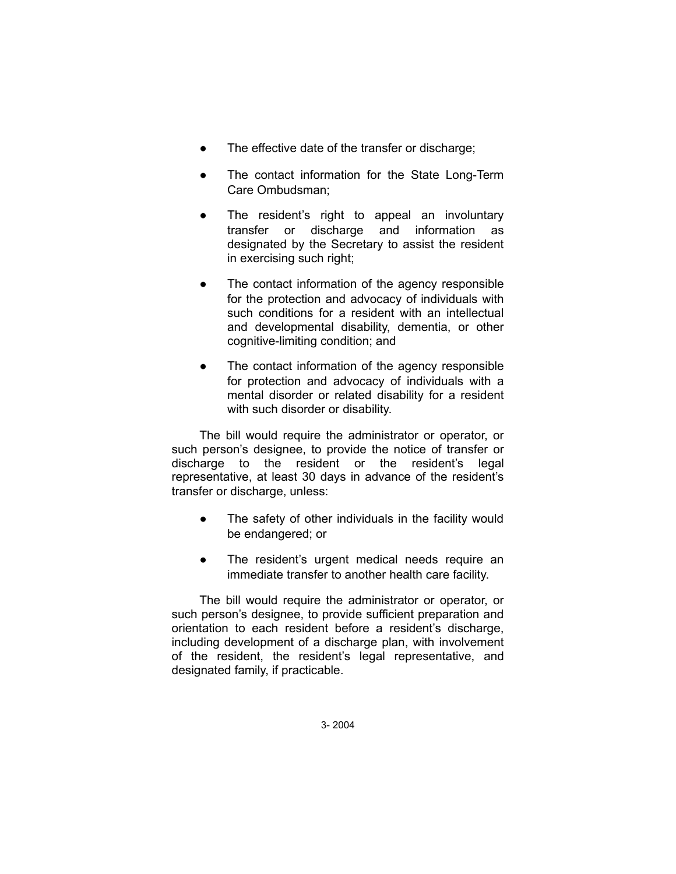- The effective date of the transfer or discharge;
- The contact information for the State Long-Term Care Ombudsman;
- The resident's right to appeal an involuntary transfer or discharge and information as designated by the Secretary to assist the resident in exercising such right;
- The contact information of the agency responsible for the protection and advocacy of individuals with such conditions for a resident with an intellectual and developmental disability, dementia, or other cognitive-limiting condition; and
- The contact information of the agency responsible for protection and advocacy of individuals with a mental disorder or related disability for a resident with such disorder or disability.

The bill would require the administrator or operator, or such person's designee, to provide the notice of transfer or discharge to the resident or the resident's legal representative, at least 30 days in advance of the resident's transfer or discharge, unless:

- The safety of other individuals in the facility would be endangered; or
- The resident's urgent medical needs require an immediate transfer to another health care facility.

The bill would require the administrator or operator, or such person's designee, to provide sufficient preparation and orientation to each resident before a resident's discharge, including development of a discharge plan, with involvement of the resident, the resident's legal representative, and designated family, if practicable.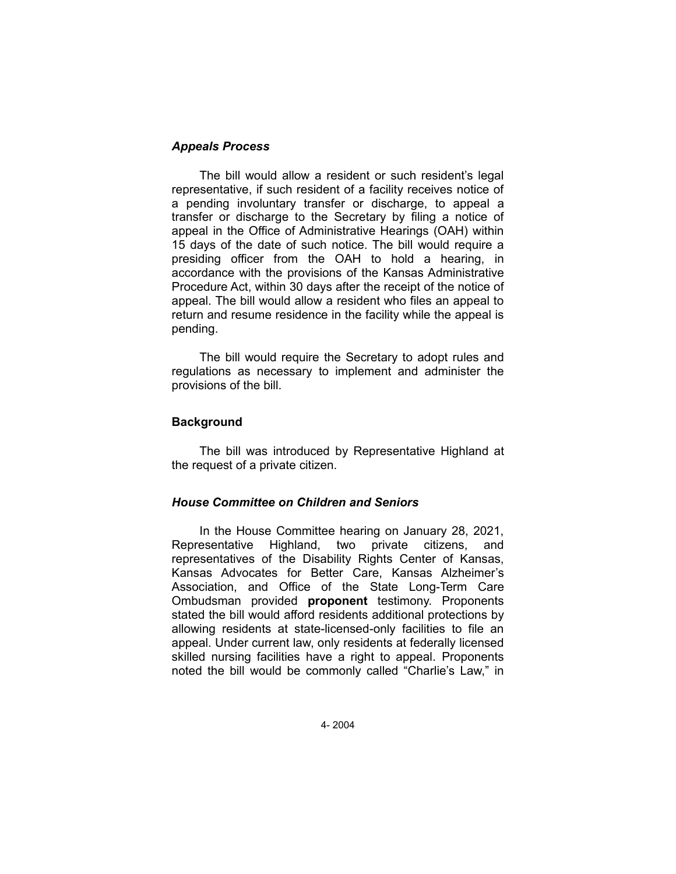# *Appeals Process*

The bill would allow a resident or such resident's legal representative, if such resident of a facility receives notice of a pending involuntary transfer or discharge, to appeal a transfer or discharge to the Secretary by filing a notice of appeal in the Office of Administrative Hearings (OAH) within 15 days of the date of such notice. The bill would require a presiding officer from the OAH to hold a hearing, in accordance with the provisions of the Kansas Administrative Procedure Act, within 30 days after the receipt of the notice of appeal. The bill would allow a resident who files an appeal to return and resume residence in the facility while the appeal is pending.

The bill would require the Secretary to adopt rules and regulations as necessary to implement and administer the provisions of the bill.

# **Background**

The bill was introduced by Representative Highland at the request of a private citizen.

### *House Committee on Children and Seniors*

In the House Committee hearing on January 28, 2021, Representative Highland, two private citizens, and representatives of the Disability Rights Center of Kansas, Kansas Advocates for Better Care, Kansas Alzheimer's Association, and Office of the State Long-Term Care Ombudsman provided **proponent** testimony. Proponents stated the bill would afford residents additional protections by allowing residents at state-licensed-only facilities to file an appeal. Under current law, only residents at federally licensed skilled nursing facilities have a right to appeal. Proponents noted the bill would be commonly called "Charlie's Law," in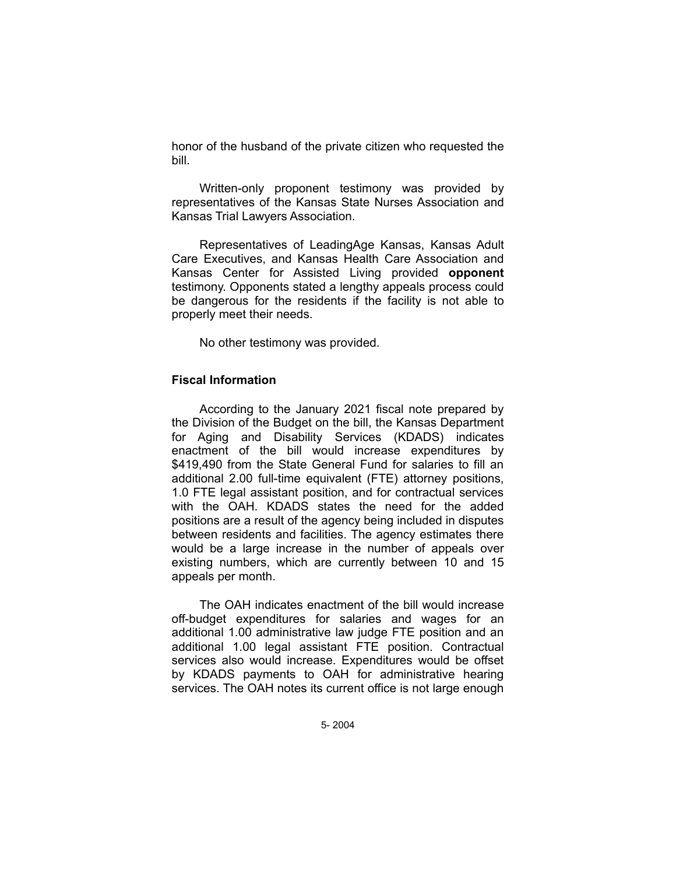honor of the husband of the private citizen who requested the bill.

Written-only proponent testimony was provided by representatives of the Kansas State Nurses Association and Kansas Trial Lawyers Association.

Representatives of LeadingAge Kansas, Kansas Adult Care Executives, and Kansas Health Care Association and Kansas Center for Assisted Living provided **opponent** testimony. Opponents stated a lengthy appeals process could be dangerous for the residents if the facility is not able to properly meet their needs.

No other testimony was provided.

## **Fiscal Information**

According to the January 2021 fiscal note prepared by the Division of the Budget on the bill, the Kansas Department for Aging and Disability Services (KDADS) indicates enactment of the bill would increase expenditures by \$419,490 from the State General Fund for salaries to fill an additional 2.00 full-time equivalent (FTE) attorney positions, 1.0 FTE legal assistant position, and for contractual services with the OAH. KDADS states the need for the added positions are a result of the agency being included in disputes between residents and facilities. The agency estimates there would be a large increase in the number of appeals over existing numbers, which are currently between 10 and 15 appeals per month.

The OAH indicates enactment of the bill would increase off-budget expenditures for salaries and wages for an additional 1.00 administrative law judge FTE position and an additional 1.00 legal assistant FTE position. Contractual services also would increase. Expenditures would be offset by KDADS payments to OAH for administrative hearing services. The OAH notes its current office is not large enough